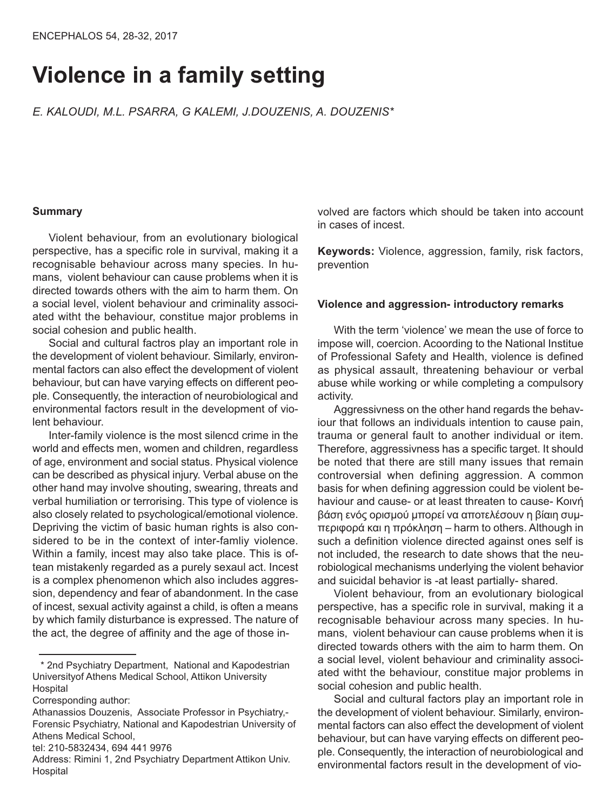# **Violence in a family setting**

*Ε. Kaloudi, M.l. Psarra, G KaleMi, J.douzenis, a. douzenis\**

## **Summary**

Violent behaviour, from an evolutionary biological perspective, has a specific role in survival, making it a recognisable behaviour across many species. In humans, violent behaviour can cause problems when it is directed towards others with the aim to harm them. On a social level, violent behaviour and criminality associated witht the behaviour, constitue major problems in social cohesion and public health.

Social and cultural factros play an important role in the development of violent behaviour. Similarly, environmental factors can also effect the development of violent behaviour, but can have varying effects on different people. Consequently, the interaction of neurobiological and environmental factors result in the development of violent behaviour.

Inter-family violence is the most silencd crime in the world and effects men, women and children, regardless of age, environment and social status. Physical violence can be described as physical injury. Verbal abuse on the other hand may involve shouting, swearing, threats and verbal humiliation or terrorising. This type of violence is also closely related to psychological/emotional violence. Depriving the victim of basic human rights is also considered to be in the context of inter-famliy violence. Within a family, incest may also take place. This is oftean mistakenly regarded as a purely sexaul act. Incest is a complex phenomenon which also includes aggression, dependency and fear of abandonment. In the case of incest, sexual activity against a child, is often a means by which family disturbance is expressed. The nature of the act, the degree of affinity and the age of those in-

\* 2nd Psychiatry Department, National and Kapodestrian Universityof Athens Medical School, Attikon University Hospital

volved are factors which should be taken into account in cases of incest.

**Keywords:** Violence, aggression, family, risk factors, prevention

### **Violence and aggression- introductory remarks**

With the term 'violence' we mean the use of force to impose will, coercion. Acoording to the National Institue of Professional Safety and Health, violence is defined as physical assault, threatening behaviour or verbal abuse while working or while completing a compulsory activity.

Aggressivness on the other hand regards the behaviour that follows an individuals intention to cause pain, trauma or general fault to another individual or item. Therefore, aggressivness has a specific target. It should be noted that there are still many issues that remain controversial when defining aggression. A common basis for when defining aggression could be violent behaviour and cause- or at least threaten to cause- Κοινή βάση ενός ορισμού μπορεί να αποτελέσουν η βίαιη συμπεριφορά και η πρόκληση – harm to others. Although in such a definition violence directed against ones self is not included, the research to date shows that the neurobiological mechanisms underlying the violent behavior and suicidal behavior is -at least partially- shared.

Violent behaviour, from an evolutionary biological perspective, has a specific role in survival, making it a recognisable behaviour across many species. In humans, violent behaviour can cause problems when it is directed towards others with the aim to harm them. On a social level, violent behaviour and criminality associated witht the behaviour, constitue major problems in social cohesion and public health.

Social and cultural factors play an important role in the development of violent behaviour. Similarly, environmental factors can also effect the development of violent behaviour, but can have varying effects on different people. Consequently, the interaction of neurobiological and environmental factors result in the development of vio-

Corresponding author:

Athanassios Douzenis, Associate Professor in Psychiatry,- Forensic Psychiatry, National and Kapodestrian University of Athens Medical School,

tel: 210-5832434, 694 441 9976

Address: Rimini 1, 2nd Psychiatry Department Attikon Univ. Hospital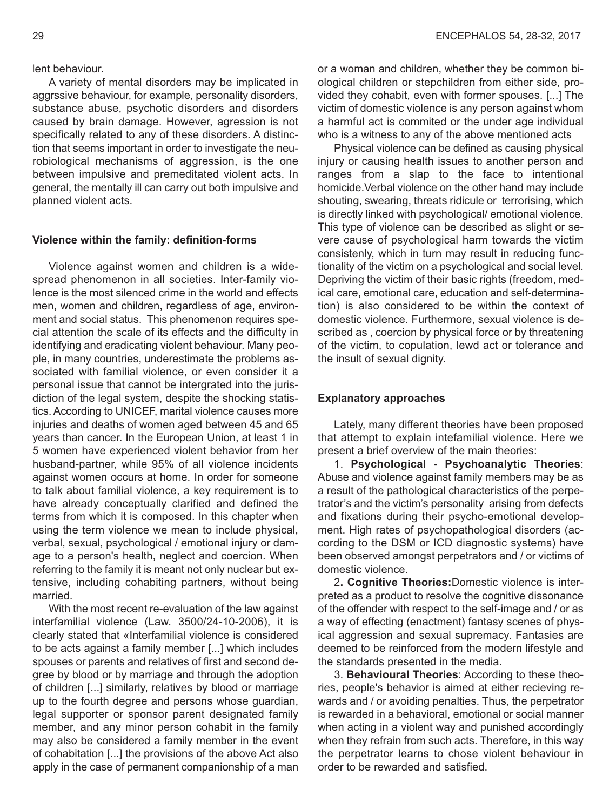lent behaviour.

A variety of mental disorders may be implicated in aggrssive behaviour, for example, personality disorders, substance abuse, psychotic disorders and disorders caused by brain damage. However, agression is not specifically related to any of these disorders. A distinction that seems important in order to investigate the neurobiological mechanisms of aggression, is the one between impulsive and premeditated violent acts. In general, the mentally ill can carry out both impulsive and planned violent acts.

#### **Violence within the family: definition-forms**

Violence against women and children is a widespread phenomenon in all societies. Inter-family violence is the most silenced crime in the world and effects men, women and children, regardless of age, environment and social status. This phenomenon requires special attention the scale of its effects and the difficulty in identifying and eradicating violent behaviour. Many people, in many countries, underestimate the problems associated with familial violence, or even consider it a personal issue that cannot be intergrated into the jurisdiction of the legal system, despite the shocking statistics. According to UNICEF, marital violence causes more injuries and deaths of women aged between 45 and 65 years than cancer. In the European Union, at least 1 in 5 women have experienced violent behavior from her husband-partner, while 95% of all violence incidents against women occurs at home. In order for someone to talk about familial violence, a key requirement is to have already conceptually clarified and defined the terms from which it is composed. In this chapter when using the term violence we mean to include physical, verbal, sexual, psychological / emotional injury or damage to a person's health, neglect and coercion. When referring to the family it is meant not only nuclear but extensive, including cohabiting partners, without being married.

With the most recent re-evaluation of the law against interfamilial violence (Law. 3500/24-10-2006), it is clearly stated that «Interfamilial violence is considered to be acts against a family member [...] which includes spouses or parents and relatives of first and second degree by blood or by marriage and through the adoption of children [...] similarly, relatives by blood or marriage up to the fourth degree and persons whose guardian, legal supporter or sponsor parent designated family member, and any minor person cohabit in the family may also be considered a family member in the event of cohabitation [...] the provisions of the above Act also apply in the case of permanent companionship of a man

or a woman and children, whether they be common biological children or stepchildren from either side, provided they cohabit, even with former spouses. [...] The victim of domestic violence is any person against whom a harmful act is commited or the under age individual who is a witness to any of the above mentioned acts

Physical violence can be defined as causing physical injury or causing health issues to another person and ranges from a slap to the face to intentional homicide.Verbal violence on the other hand may include shouting, swearing, threats ridicule or terrorising, which is directly linked with psychological/ emotional violence. This type of violence can be described as slight or severe cause of psychological harm towards the victim consistenly, which in turn may result in reducing functionality of the victim on a psychological and social level. Depriving the victim of their basic rights (freedom, medical care, emotional care, education and self-determination) is also considered to be within the context of domestic violence. Furthermore, sexual violence is described as , coercion by physical force or by threatening of the victim, to copulation, lewd act or tolerance and the insult of sexual dignity.

#### **Explanatory approaches**

Lately, many different theories have been proposed that attempt to explain intefamilial violence. Here we present a brief overview of the main theories:

1. **Psychological - Psychoanalytic Theories**: Αbuse and violence against family members may be as a result of the pathological characteristics of the perpetrator's and the victim's personality arising from defects and fixations during their psycho-emotional development. High rates of psychopathological disorders (according to the DSM or ICD diagnostic systems) have been observed amongst perpetrators and / or victims of domestic violence.

2**. Cognitive Theories:**Domestic violence is interpreted as a product to resolve the cognitive dissonance of the offender with respect to the self-image and / or as a way of effecting (enactment) fantasy scenes of physical aggression and sexual supremacy. Fantasies are deemed to be reinforced from the modern lifestyle and the standards presented in the media.

3. **Behavioural Theories**: According to these theories, people's behavior is aimed at either recieving rewards and / or avoiding penalties. Thus, the perpetrator is rewarded in a behavioral, emotional or social manner when acting in a violent way and punished accordingly when they refrain from such acts. Therefore, in this way the perpetrator learns to chose violent behaviour in order to be rewarded and satisfied.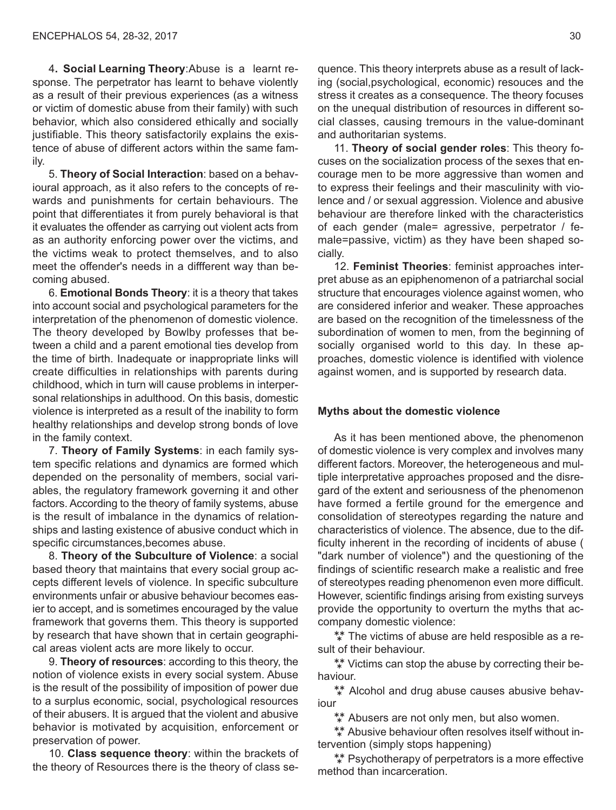4**. Social Learning Theory**:Abuse is a learnt response. The perpetrator has learnt to behave violently as a result of their previous experiences (as a witness or victim of domestic abuse from their family) with such behavior, which also considered ethically and socially justifiable. This theory satisfactorily explains the existence of abuse of different actors within the same family.

5. **Theory of Social Interaction**: based on a behavioural approach, as it also refers to the concepts of rewards and punishments for certain behaviours. The point that differentiates it from purely behavioral is that it evaluates the offender as carrying out violent acts from as an authority enforcing power over the victims, and the victims weak to protect themselves, and to also meet the offender's needs in a diffferent way than becoming abused.

6. **Emotional Bonds Theory**: it is a theory that takes into account social and psychological parameters for the interpretation of the phenomenon of domestic violence. The theory developed by Bowlby professes that between a child and a parent emotional ties develop from the time of birth. Inadequate or inappropriate links will create difficulties in relationships with parents during childhood, which in turn will cause problems in interpersonal relationships in adulthood. On this basis, domestic violence is interpreted as a result of the inability to form healthy relationships and develop strong bonds of love in the family context.

7. **Theory of Family Systems**: in each family system specific relations and dynamics are formed which depended on the personality of members, social variables, the regulatory framework governing it and other factors. According to the theory of family systems, abuse is the result of imbalance in the dynamics of relationships and lasting existence of abusive conduct which in specific circumstances,becomes abuse.

8. **Theory of the Subculture of Violence**: a social based theory that maintains that every social group accepts different levels of violence. In specific subculture environments unfair or abusive behaviour becomes easier to accept, and is sometimes encouraged by the value framework that governs them. This theory is supported by research that have shown that in certain geographical areas violent acts are more likely to occur.

9. **Theory of resources**: according to this theory, the notion of violence exists in every social system. Abuse is the result of the possibility of imposition of power due to a surplus economic, social, psychological resources of their abusers. It is argued that the violent and abusive behavior is motivated by acquisition, enforcement or preservation of power.

10. **Class sequence theory**: within the brackets of the theory of Resources there is the theory of class se-

quence. This theory interprets abuse as a result of lacking (social,psychological, economic) resouces and the stress it creates as a consequence. The theory focuses on the unequal distribution of resources in different social classes, causing tremours in the value-dominant and authoritarian systems.

11. **Theory of social gender roles**: This theory focuses on the socialization process of the sexes that encourage men to be more aggressive than women and to express their feelings and their masculinity with violence and / or sexual aggression. Violence and abusive behaviour are therefore linked with the characteristics of each gender (male= agressive, perpetrator / female=passive, victim) as they have been shaped socially.

12. **Feminist Theories**: feminist approaches interpret abuse as an epiphenomenon of a patriarchal social structure that encourages violence against women, who are considered inferior and weaker. These approaches are based on the recognition of the timelessness of the subordination of women to men, from the beginning of socially organised world to this day. In these approaches, domestic violence is identified with violence against women, and is supported by research data.

#### **Myths about the domestic violence**

As it has been mentioned above, the phenomenon of domestic violence is very complex and involves many different factors. Moreover, the heterogeneous and multiple interpretative approaches proposed and the disregard of the extent and seriousness of the phenomenon have formed a fertile ground for the emergence and consolidation of stereotypes regarding the nature and characteristics of violence. The absence, due to the difficulty inherent in the recording of incidents of abuse ( "dark number of violence") and the questioning of the findings of scientific research make a realistic and free of stereotypes reading phenomenon even more difficult. However, scientific findings arising from existing surveys provide the opportunity to overturn the myths that accompany domestic violence:

\*\* The victims of abuse are held resposible as a result of their behaviour.

\*\* Victims can stop the abuse by correcting their behaviour.

\*\* Alcohol and drug abuse causes abusive behaviour

\*\* Abusers are not only men, but also women.

 Abusive behaviour often resolves itself without intervention (simply stops happening)

\*\* Psychotherapy of perpetrators is a more effective method than incarceration.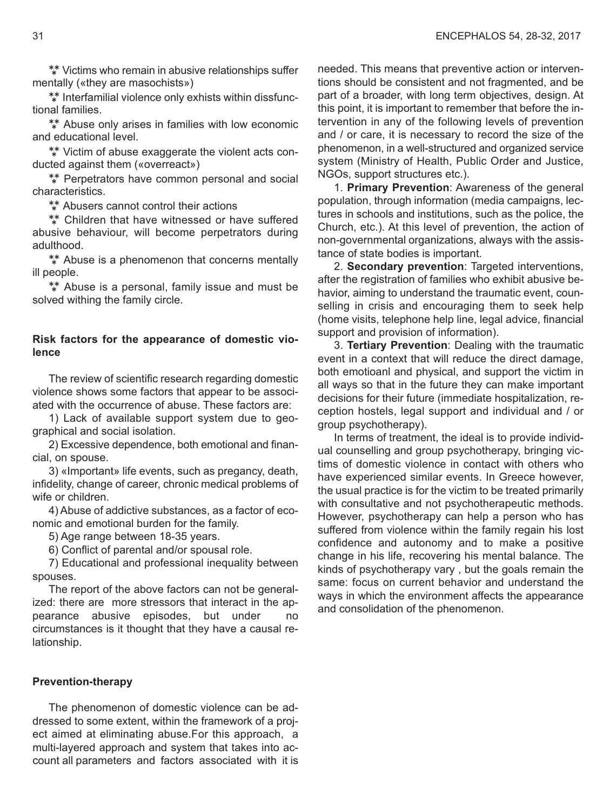\*\* Victims who remain in abusive relationships suffer mentally («they are masochists»)

\*\* Interfamilial violence only exhists within dissfunctional families.

\*\* Abuse only arises in families with low economic and educational level.

\*\* Victim of abuse exaggerate the violent acts conducted against them («overreact»)

\*\* Perpetrators have common personal and social characteristics.

\*\* Abusers cannot control their actions

\*\* Children that have witnessed or have suffered abusive behaviour, will become perpetrators during adulthood.

\*\* Abuse is a phenomenon that concerns mentally ill people.

\*\* Abuse is a personal, family issue and must be solved withing the family circle.

## **Risk factors for the appearance of domestic violence**

The review of scientific research regarding domestic violence shows some factors that appear to be associated with the occurrence of abuse. These factors are:

1) Lack of available support system due to geographical and social isolation.

2) Excessive dependence, both emotional and financial, on spouse.

3) «Important» life events, such as pregancy, death, infidelity, change of career, chronic medical problems of wife or children.

4) Abuse of addictive substances, as a factor of economic and emotional burden for the family.

5) Age range between 18-35 years.

6) Conflict of parental and/or spousal role.

7) Educational and professional inequality between spouses.

The report of the above factors can not be generalized: there are more stressors that interact in the appearance abusive episodes, but under no circumstances is it thought that they have a causal relationship.

#### **Prevention-therapy**

The phenomenon of domestic violence can be addressed to some extent, within the framework of a project aimed at eliminating abuse.For this approach, a multi-layered approach and system that takes into account all parameters and factors associated with it is needed. This means that preventive action or interventions should be consistent and not fragmented, and be part of a broader, with long term objectives, design. At this point, it is important to remember that before the intervention in any of the following levels of prevention and / or care, it is necessary to record the size of the phenomenon, in a well-structured and organized service system (Ministry of Health, Public Order and Justice, NGOs, support structures etc.).

1. **Primary Prevention**: Awareness of the general population, through information (media campaigns, lectures in schools and institutions, such as the police, the Church, etc.). At this level of prevention, the action of non-governmental organizations, always with the assistance of state bodies is important.

2. **Secondary prevention**: Targeted interventions, after the registration of families who exhibit abusive behavior, aiming to understand the traumatic event, counselling in crisis and encouraging them to seek help (home visits, telephone help line, legal advice, financial support and provision of information).

3. **Tertiary Prevention**: Dealing with the traumatic event in a context that will reduce the direct damage, both emotioanl and physical, and support the victim in all ways so that in the future they can make important decisions for their future (immediate hospitalization, reception hostels, legal support and individual and / or group psychotherapy).

In terms of treatment, the ideal is to provide individual counselling and group psychotherapy, bringing victims of domestic violence in contact with others who have experienced similar events. In Greece however, the usual practice is for the victim to be treated primarily with consultative and not psychotherapeutic methods. However, psychotherapy can help a person who has suffered from violence within the family regain his lost confidence and autonomy and to make a positive change in his life, recovering his mental balance. The kinds of psychotherapy vary , but the goals remain the same: focus on current behavior and understand the ways in which the environment affects the appearance and consolidation of the phenomenon.